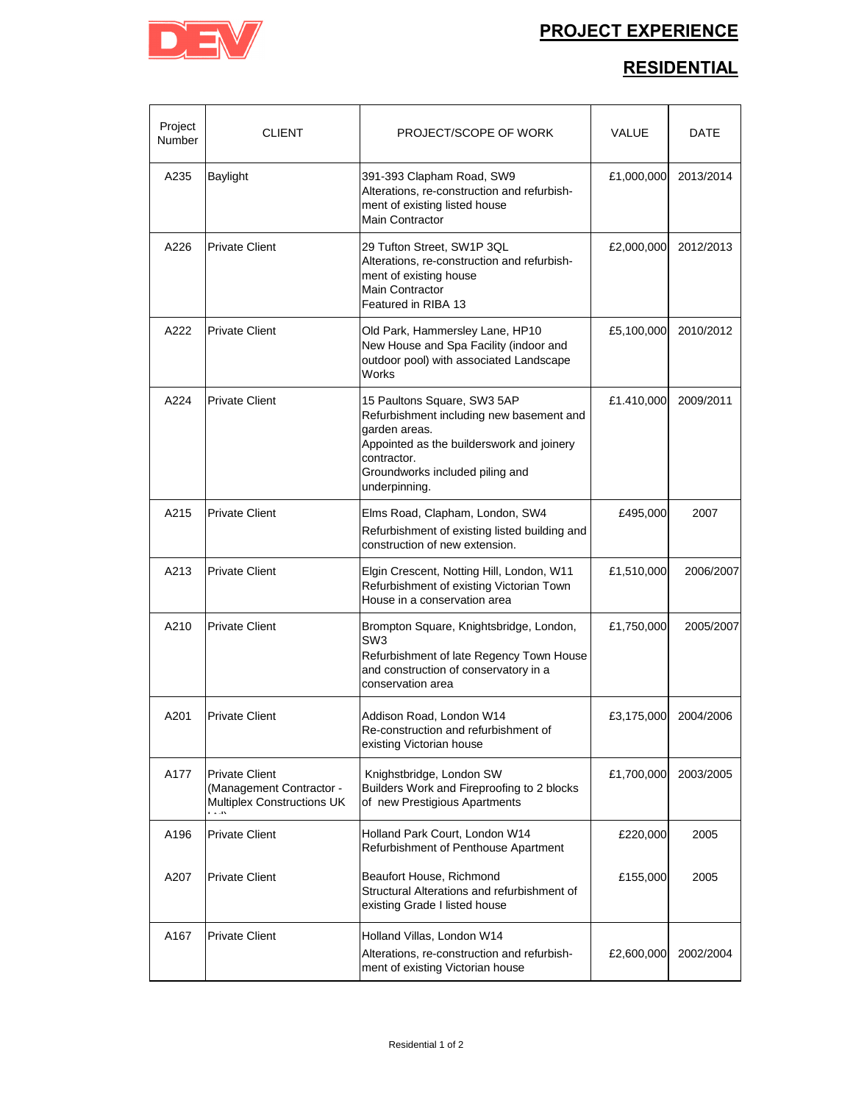

## **PROJECT EXPERIENCE**

## **RESIDENTIAL**

| Project<br>Number | <b>CLIENT</b>                                                                   | PROJECT/SCOPE OF WORK                                                                                                                                                                                    | VALUE      | DATE      |
|-------------------|---------------------------------------------------------------------------------|----------------------------------------------------------------------------------------------------------------------------------------------------------------------------------------------------------|------------|-----------|
| A235              | Baylight                                                                        | 391-393 Clapham Road, SW9<br>Alterations, re-construction and refurbish-<br>ment of existing listed house<br><b>Main Contractor</b>                                                                      | £1,000,000 | 2013/2014 |
| A226              | <b>Private Client</b>                                                           | 29 Tufton Street, SW1P 3QL<br>Alterations, re-construction and refurbish-<br>ment of existing house<br><b>Main Contractor</b><br>Featured in RIBA 13                                                     | £2,000,000 | 2012/2013 |
| A222              | <b>Private Client</b>                                                           | Old Park, Hammersley Lane, HP10<br>New House and Spa Facility (indoor and<br>outdoor pool) with associated Landscape<br>Works                                                                            | £5,100,000 | 2010/2012 |
| A224              | <b>Private Client</b>                                                           | 15 Paultons Square, SW3 5AP<br>Refurbishment including new basement and<br>garden areas.<br>Appointed as the builderswork and joinery<br>contractor.<br>Groundworks included piling and<br>underpinning. | £1.410,000 | 2009/2011 |
| A215              | <b>Private Client</b>                                                           | Elms Road, Clapham, London, SW4<br>Refurbishment of existing listed building and<br>construction of new extension.                                                                                       | £495,000   | 2007      |
| A213              | <b>Private Client</b>                                                           | Elgin Crescent, Notting Hill, London, W11<br>Refurbishment of existing Victorian Town<br>House in a conservation area                                                                                    | £1,510,000 | 2006/2007 |
| A210              | <b>Private Client</b>                                                           | Brompton Square, Knightsbridge, London,<br>SW <sub>3</sub><br>Refurbishment of late Regency Town House<br>and construction of conservatory in a<br>conservation area                                     | £1,750,000 | 2005/2007 |
| A201              | <b>Private Client</b>                                                           | Addison Road, London W14<br>Re-construction and refurbishment of<br>existing Victorian house                                                                                                             | £3,175,000 | 2004/2006 |
| A177              | <b>Private Client</b><br>(Management Contractor -<br>Multiplex Constructions UK | Knighstbridge, London SW<br>Builders Work and Fireproofing to 2 blocks<br>of new Prestigious Apartments                                                                                                  | £1,700,000 | 2003/2005 |
| A196              | <b>Private Client</b>                                                           | Holland Park Court, London W14<br>Refurbishment of Penthouse Apartment                                                                                                                                   | £220,000   | 2005      |
| A207              | <b>Private Client</b>                                                           | Beaufort House, Richmond<br>Structural Alterations and refurbishment of<br>existing Grade I listed house                                                                                                 | £155,000   | 2005      |
| A167              | <b>Private Client</b>                                                           | Holland Villas, London W14<br>Alterations, re-construction and refurbish-<br>ment of existing Victorian house                                                                                            | £2,600,000 | 2002/2004 |